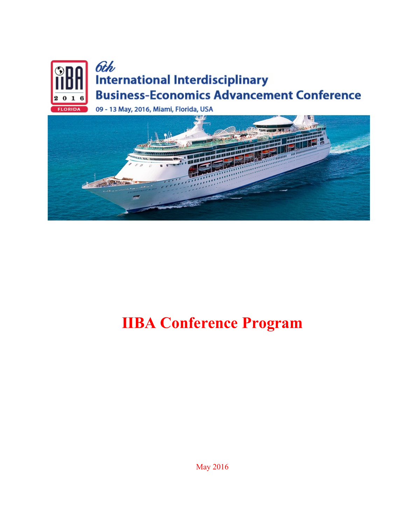



## **IIBA Conference Program**

May 2016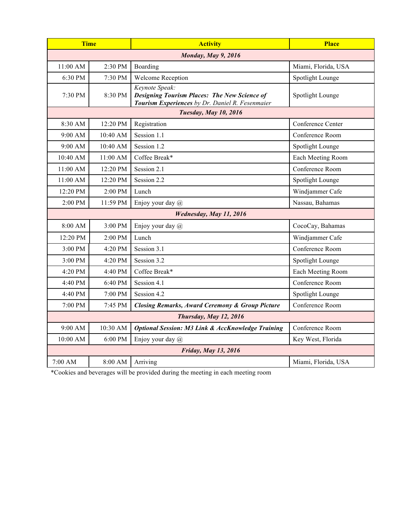| <b>Time</b>                  |          | <b>Activity</b>                                                                                                          | <b>Place</b>        |  |
|------------------------------|----------|--------------------------------------------------------------------------------------------------------------------------|---------------------|--|
| <b>Monday, May 9, 2016</b>   |          |                                                                                                                          |                     |  |
| 11:00 AM                     | 2:30 PM  | Boarding                                                                                                                 | Miami, Florida, USA |  |
| 6:30 PM                      | 7:30 PM  | Welcome Reception                                                                                                        | Spotlight Lounge    |  |
| 7:30 PM                      | 8:30 PM  | Keynote Speak:<br><b>Designing Tourism Places: The New Science of</b><br>Tourism Experiences by Dr. Daniel R. Fesenmaier | Spotlight Lounge    |  |
| <b>Tuesday, May 10, 2016</b> |          |                                                                                                                          |                     |  |
| 8:30 AM                      | 12:20 PM | Registration                                                                                                             | Conference Center   |  |
| 9:00 AM                      | 10:40 AM | Session 1.1                                                                                                              | Conference Room     |  |
| $9:00$ AM                    | 10:40 AM | Session 1.2                                                                                                              | Spotlight Lounge    |  |
| 10:40 AM                     | 11:00 AM | Coffee Break*                                                                                                            | Each Meeting Room   |  |
| 11:00 AM                     | 12:20 PM | Session 2.1                                                                                                              | Conference Room     |  |
| 11:00 AM                     | 12:20 PM | Session 2.2                                                                                                              | Spotlight Lounge    |  |
| 12:20 PM                     | 2:00 PM  | Lunch                                                                                                                    | Windjammer Cafe     |  |
| 2:00 PM                      | 11:59 PM | Enjoy your day @                                                                                                         | Nassau, Bahamas     |  |
| Wednesday, May 11, 2016      |          |                                                                                                                          |                     |  |
| 8:00 AM                      | 3:00 PM  | Enjoy your day @                                                                                                         | CocoCay, Bahamas    |  |
| 12:20 PM                     | 2:00 PM  | Lunch                                                                                                                    | Windjammer Cafe     |  |
| 3:00 PM                      | 4:20 PM  | Session 3.1                                                                                                              | Conference Room     |  |
| 3:00 PM                      | 4:20 PM  | Session 3.2                                                                                                              | Spotlight Lounge    |  |
| 4:20 PM                      | 4:40 PM  | Coffee Break*                                                                                                            | Each Meeting Room   |  |
| 4:40 PM                      | 6:40 PM  | Session 4.1                                                                                                              | Conference Room     |  |
| 4:40 PM                      | 7:00 PM  | Session 4.2                                                                                                              | Spotlight Lounge    |  |
| 7:00 PM                      | 7:45 PM  | <b>Closing Remarks, Award Ceremony &amp; Group Picture</b>                                                               | Conference Room     |  |
| Thursday, May 12, 2016       |          |                                                                                                                          |                     |  |
| 9:00 AM                      | 10:30 AM | <b>Optional Session: M3 Link &amp; AccKnowledge Training</b>                                                             | Conference Room     |  |
| 10:00 AM                     | 6:00 PM  | Enjoy your day @                                                                                                         | Key West, Florida   |  |
| Friday, May 13, 2016         |          |                                                                                                                          |                     |  |
| 7:00 AM                      | 8:00 AM  | Arriving                                                                                                                 | Miami, Florida, USA |  |

\*Cookies and beverages will be provided during the meeting in each meeting room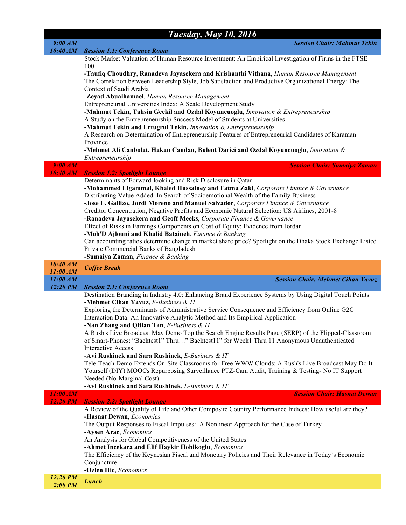|                     | <b>Tuesday, May 10, 2016</b>                                                                                                                                                                      |
|---------------------|---------------------------------------------------------------------------------------------------------------------------------------------------------------------------------------------------|
| 9:00 AM             | <b>Session Chair: Mahmut Tekin</b>                                                                                                                                                                |
| 10:40 AM            | <b>Session 1.1: Conference Room</b><br>Stock Market Valuation of Human Resource Investment: An Empirical Investigation of Firms in the FTSE                                                       |
|                     | 100                                                                                                                                                                                               |
|                     | -Taufiq Choudhry, Ranadeva Jayasekera and Krishanthi Vithana, Human Resource Management<br>The Correlation between Leadership Style, Job Satisfaction and Productive Organizational Energy: The   |
|                     | Context of Saudi Arabia<br>-Zeyad Abualhamael, Human Resource Management                                                                                                                          |
|                     | Entrepreneurial Universities Index: A Scale Development Study                                                                                                                                     |
|                     | -Mahmut Tekin, Tahsin Geckil and Ozdal Koyuncuoglu, Innovation & Entrepreneurship                                                                                                                 |
|                     | A Study on the Entrepreneurship Success Model of Students at Universities                                                                                                                         |
|                     | -Mahmut Tekin and Ertugrul Tekin, Innovation & Entrepreneurship<br>A Research on Determination of Entrepreneurship Features of Entrepreneurial Candidates of Karaman                              |
|                     | Province                                                                                                                                                                                          |
|                     | -Mehmet Ali Canbolat, Hakan Candan, Bulent Darici and Ozdal Koyuncuoglu, Innovation $\&$                                                                                                          |
|                     | Entrepreneurship                                                                                                                                                                                  |
| 9:00 AM<br>10:40 AM | <b>Session Chair: Sumaiya Zaman</b><br><b>Session 1.2: Spotlight Lounge</b>                                                                                                                       |
|                     | Determinants of Forward-looking and Risk Disclosure in Qatar                                                                                                                                      |
|                     | -Mohammed Elgammal, Khaled Hussainey and Fatma Zaki, Corporate Finance & Governance                                                                                                               |
|                     | Distributing Value Added: In Search of Socioemotional Wealth of the Family Business                                                                                                               |
|                     | -Jose L. Gallizo, Jordi Moreno and Manuel Salvador, Corporate Finance & Governance<br>Creditor Concentration, Negative Profits and Economic Natural Selection: US Airlines, 2001-8                |
|                     | -Ranadeva Jayasekera and Geoff Meeks, Corporate Finance & Governance                                                                                                                              |
|                     | Effect of Risks in Earnings Components on Cost of Equity: Evidence from Jordan                                                                                                                    |
|                     | -Moh'D Ajlouni and Khalid Bataineh, Finance & Banking                                                                                                                                             |
|                     | Can accounting ratios determine change in market share price? Spotlight on the Dhaka Stock Exchange Listed                                                                                        |
|                     | Private Commercial Banks of Bangladesh<br>-Sumaiya Zaman, Finance & Banking                                                                                                                       |
| 10:40 AM            | <b>Coffee Break</b>                                                                                                                                                                               |
|                     |                                                                                                                                                                                                   |
| 11:00 AM            |                                                                                                                                                                                                   |
| 11:00 AM            | <b>Session Chair: Mehmet Cihan Yavuz</b>                                                                                                                                                          |
| 12:20 PM            | <b>Session 2.1: Conference Room</b><br>Destination Branding in Industry 4.0: Enhancing Brand Experience Systems by Using Digital Touch Points                                                     |
|                     | -Mehmet Cihan Yavuz, E-Business & IT                                                                                                                                                              |
|                     | Exploring the Determinants of Administrative Service Consequence and Efficiency from Online G2C<br>Interaction Data: An Innovative Analytic Method and Its Empirical Application                  |
|                     | -Nan Zhang and Qitian Tan, $E$ -Business & IT                                                                                                                                                     |
|                     | A Rush's Live Broadcast May Demo Top the Search Engine Results Page (SERP) of the Flipped-Classroom<br>of Smart-Phones: "Backtest1" Thru" Backtest11" for Week1 Thru 11 Anonymous Unauthenticated |
|                     | <b>Interactive Access</b>                                                                                                                                                                         |
|                     | -Avi Rushinek and Sara Rushinek, E-Business & IT                                                                                                                                                  |
|                     | Tele-Teach Demo Extends On-Site Classrooms for Free WWW Clouds: A Rush's Live Broadcast May Do It                                                                                                 |
|                     | Yourself (DIY) MOOCs Repurposing Surveillance PTZ-Cam Audit, Training & Testing-No IT Support<br>Needed (No-Marginal Cost)                                                                        |
|                     | -Avi Rushinek and Sara Rushinek, E-Business & IT                                                                                                                                                  |
| 11:00 AM            | <b>Session Chair: Hasnat Dewan</b>                                                                                                                                                                |
| <b>12:20 PM</b>     | <b>Session 2.2: Spotlight Lounge</b><br>A Review of the Quality of Life and Other Composite Country Performance Indices: How useful are they?                                                     |
|                     | -Hasnat Dewan, Economics                                                                                                                                                                          |
|                     | The Output Responses to Fiscal Impulses: A Nonlinear Approach for the Case of Turkey                                                                                                              |
|                     | -Aysen Arac, Economics                                                                                                                                                                            |
|                     | An Analysis for Global Competitiveness of the United States                                                                                                                                       |
|                     | -Ahmet Incekara and Elif Haykir Hobikoglu, Economics<br>The Efficiency of the Keynesian Fiscal and Monetary Policies and Their Relevance in Today's Economic                                      |
|                     | Conjuncture                                                                                                                                                                                       |
| 12:20 PM            | -Ozlen Hic, Economics<br><b>Lunch</b>                                                                                                                                                             |